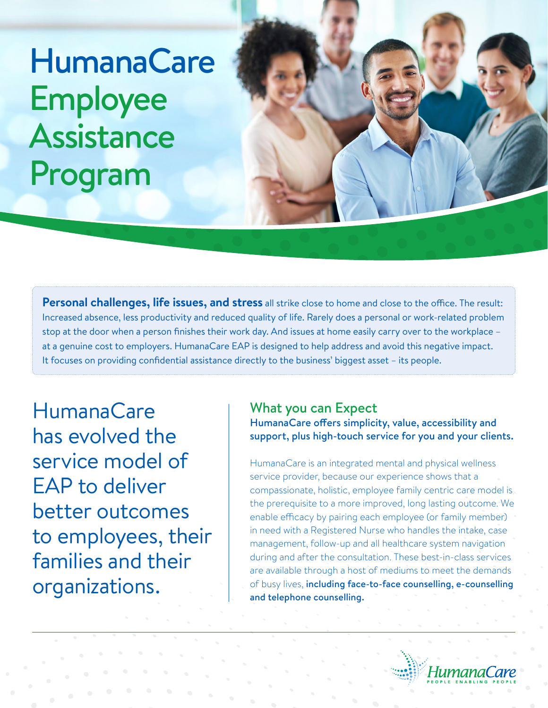# **HumanaCare** Employee Assistance Program

**Personal challenges, life issues, and stress** all strike close to home and close to the office. The result: Increased absence, less productivity and reduced quality of life. Rarely does a personal or work-related problem stop at the door when a person finishes their work day. And issues at home easily carry over to the workplace – at a genuine cost to employers. HumanaCare EAP is designed to help address and avoid this negative impact. It focuses on providing confidential assistance directly to the business' biggest asset – its people.

HumanaCare has evolved the service model of EAP to deliver better outcomes to employees, their families and their organizations.

## What you can Expect

HumanaCare offers simplicity, value, accessibility and support, plus high-touch service for you and your clients.

HumanaCare is an integrated mental and physical wellness service provider, because our experience shows that a compassionate, holistic, employee family centric care model is the prerequisite to a more improved, long lasting outcome. We enable efficacy by pairing each employee (or family member) in need with a Registered Nurse who handles the intake, case management, follow-up and all healthcare system navigation during and after the consultation. These best-in-class services are available through a host of mediums to meet the demands of busy lives, including face-to-face counselling, e-counselling and telephone counselling.